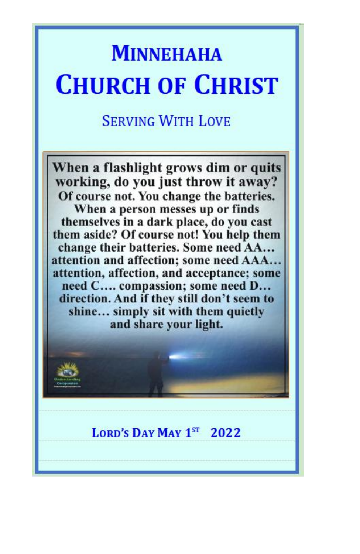# **MINNEHAHA CHURCH OF CHRIST**

### **SERVING WITH LOVE**

When a flashlight grows dim or quits working, do you just throw it away? Of course not. You change the batteries. When a person messes up or finds themselves in a dark place, do you cast them aside? Of course not! You help them change their batteries. Some need AA... attention and affection; some need AAA... attention, affection, and acceptance; some need C.... compassion; some need D... direction. And if they still don't seem to shine... simply sit with them quietly and share your light.

#### LORD'S DAY MAY 1ST 2022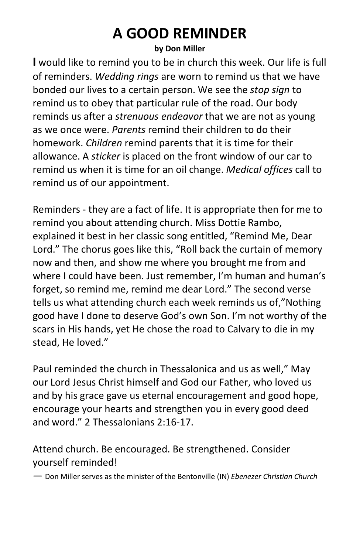## **A GOOD REMINDER**

#### **by Don Miller**

**I** would like to remind you to be in church this week. Our life is full of reminders. *Wedding rings* are worn to remind us that we have bonded our lives to a certain person. We see the *stop sign* to remind us to obey that particular rule of the road. Our body reminds us after a *strenuous endeavor* that we are not as young as we once were. *Parents* remind their children to do their homework. *Children* remind parents that it is time for their allowance. A *sticker* is placed on the front window of our car to remind us when it is time for an oil change. *Medical offices* call to remind us of our appointment.

Reminders - they are a fact of life. It is appropriate then for me to remind you about attending church. Miss Dottie Rambo, explained it best in her classic song entitled, "Remind Me, Dear Lord." The chorus goes like this, "Roll back the curtain of memory now and then, and show me where you brought me from and where I could have been. Just remember, I'm human and human's forget, so remind me, remind me dear Lord." The second verse tells us what attending church each week reminds us of,"Nothing good have I done to deserve God's own Son. I'm not worthy of the scars in His hands, yet He chose the road to Calvary to die in my stead, He loved."

Paul reminded the church in Thessalonica and us as well," May our Lord Jesus Christ himself and God our Father, who loved us and by his grace gave us eternal encouragement and good hope, encourage your hearts and strengthen you in every good deed and word." 2 Thessalonians 2:16-17.

Attend church. Be encouraged. Be strengthened. Consider yourself reminded!

— Don Miller serves as the minister of the Bentonville (IN) *Ebenezer Christian Church*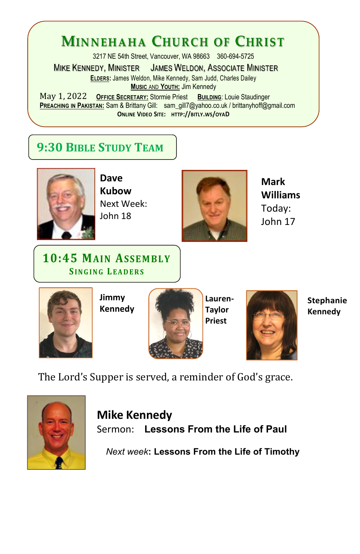## **MINNEHAHA CHURCH OF CHRIST**

3217 NE 54th Street, Vancouver, WA 98663 360-694-5725 **MIKE KENNEDY, MINISTER JAMES WELDON, ASSOCIATE MINISTER ELDERS:** James Weldon, Mike Kennedy, Sam Judd, Charles Dailey **MUSIC** AND **YOUTH:** Jim Kennedy May 1, 2022 OFFICE SECRETARY: Stormie Priest BUILDING: Louie Staudinger<br>PREACHING IN PAKISTAN: Sam & Brittany Gill: sam gill7@yahoo.co.uk / brittanyhoff@gmail.com **ONLINE VIDEO SITE: HTTP://BITLY.WS/OYAD**

#### **9:30 BIBLESTUDY TEAM**



**Dave Kubow** Next Week: John 18



**Mark Williams** Today: John 17

#### **10:45 MAIN ASSEMBLY SINGING L EAD ERS**



**Jimmy Kennedy**



**Lauren- Taylor Priest**



**Stephanie Kennedy**

The Lord's Supper is served, a reminder of God's grace.



**Mike Kennedy** Sermon: **Lessons From the Life of Paul**

*Next week***: Lessons From the Life of Timothy**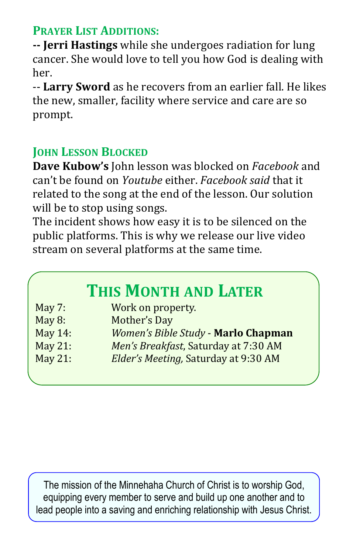#### **PRAYER LIST ADDITIONS:**

**-- Jerri Hastings** while she undergoes radiation for lung cancer. She would love to tell you how God is dealing with her.

-- **Larry Sword** as he recovers from an earlier fall. He likes the new, smaller, facility where service and care are so prompt.

#### **JOHN LESSON BLOCKED**

**Dave Kubow's** John lesson was blocked on *Facebook* and can't be found on *Youtube* either.*Facebook said* that it related to the song at the end of the lesson. Our solution will be to stop using songs.

The incident shows how easy it is to be silenced on the public platforms. This is why we release our live video stream on several platforms at the same time.

## **THIS MONTH AND LATER**

| May $7:$ | Work on property.                    |  |
|----------|--------------------------------------|--|
| May $8:$ | Mother's Day                         |  |
| May 14:  | Women's Bible Study - Marlo Chapman  |  |
| May 21:  | Men's Breakfast, Saturday at 7:30 AM |  |
| May 21:  | Elder's Meeting, Saturday at 9:30 AM |  |
|          |                                      |  |

The mission of the Minnehaha Church of Christ is to worship God, equipping every member to serve and build up one another and to lead people into a saving and enriching relationship with Jesus Christ.